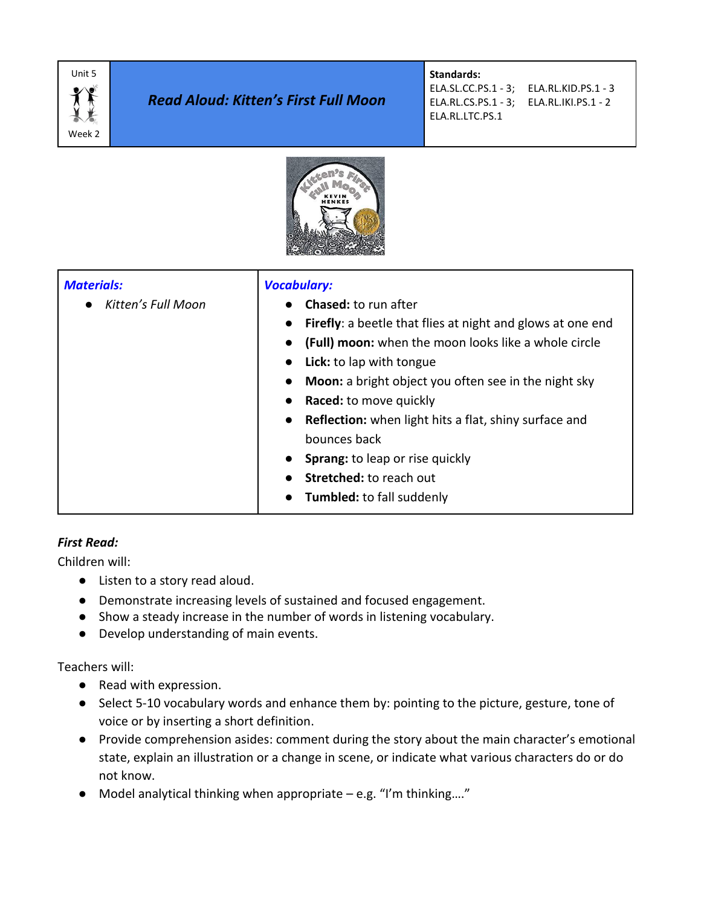

# *Read Aloud: Kitten's First Full Moon*

# **Standards:**

ELA.SL.CC.PS.1 - 3; ELA.RL.KID.PS.1 - 3 ELA.RL.CS.PS.1 - 3; ELA.RL.IKI.PS.1 - 2 ELA.RL.LTC.PS.1



| <b>Materials:</b><br>Kitten's Full Moon | <b>Vocabulary:</b><br>Chased: to run after<br><b>Firefly:</b> a beetle that flies at night and glows at one end<br>$\bullet$<br>(Full) moon: when the moon looks like a whole circle<br>$\bullet$<br>Lick: to lap with tongue<br>$\bullet$<br><b>Moon:</b> a bright object you often see in the night sky<br>$\bullet$<br><b>Raced:</b> to move quickly<br>$\bullet$<br>Reflection: when light hits a flat, shiny surface and<br>$\bullet$<br>bounces back |
|-----------------------------------------|------------------------------------------------------------------------------------------------------------------------------------------------------------------------------------------------------------------------------------------------------------------------------------------------------------------------------------------------------------------------------------------------------------------------------------------------------------|
|                                         | Sprang: to leap or rise quickly<br>$\bullet$<br>Stretched: to reach out<br><b>Tumbled:</b> to fall suddenly                                                                                                                                                                                                                                                                                                                                                |

# *First Read:*

Children will:

- Listen to a story read aloud.
- Demonstrate increasing levels of sustained and focused engagement.
- Show a steady increase in the number of words in listening vocabulary.
- Develop understanding of main events.

Teachers will:

- Read with expression.
- Select 5-10 vocabulary words and enhance them by: pointing to the picture, gesture, tone of voice or by inserting a short definition.
- Provide comprehension asides: comment during the story about the main character's emotional state, explain an illustration or a change in scene, or indicate what various characters do or do not know.
- $\bullet$  Model analytical thinking when appropriate e.g. "I'm thinking...."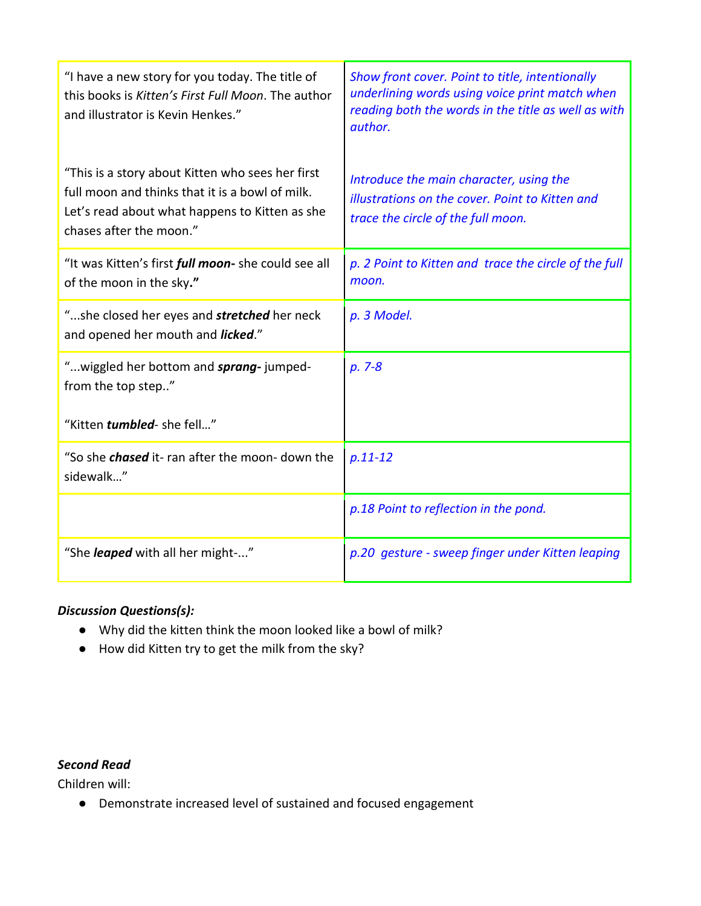| "I have a new story for you today. The title of<br>this books is Kitten's First Full Moon. The author<br>and illustrator is Kevin Henkes."                                       | Show front cover. Point to title, intentionally<br>underlining words using voice print match when<br>reading both the words in the title as well as with<br>author. |
|----------------------------------------------------------------------------------------------------------------------------------------------------------------------------------|---------------------------------------------------------------------------------------------------------------------------------------------------------------------|
| "This is a story about Kitten who sees her first<br>full moon and thinks that it is a bowl of milk.<br>Let's read about what happens to Kitten as she<br>chases after the moon." | Introduce the main character, using the<br>illustrations on the cover. Point to Kitten and<br>trace the circle of the full moon.                                    |
| "It was Kitten's first <i>full moon</i> - she could see all<br>of the moon in the sky."                                                                                          | p. 2 Point to Kitten and trace the circle of the full<br>moon.                                                                                                      |
| "she closed her eyes and <b>stretched</b> her neck<br>and opened her mouth and licked."                                                                                          | p. 3 Model.                                                                                                                                                         |
| "wiggled her bottom and sprang-jumped-<br>from the top step"                                                                                                                     | $p. 7-8$                                                                                                                                                            |
| "Kitten tumbled- she fell"                                                                                                                                                       |                                                                                                                                                                     |
| "So she <i>chased</i> it- ran after the moon- down the<br>sidewalk"                                                                                                              | $p.11 - 12$                                                                                                                                                         |
|                                                                                                                                                                                  | p.18 Point to reflection in the pond.                                                                                                                               |
| "She <i>leaped</i> with all her might-"                                                                                                                                          | p.20 gesture - sweep finger under Kitten leaping                                                                                                                    |

# *Discussion Questions(s):*

- Why did the kitten think the moon looked like a bowl of milk?
- How did Kitten try to get the milk from the sky?

#### *Second Read*

Children will:

● Demonstrate increased level of sustained and focused engagement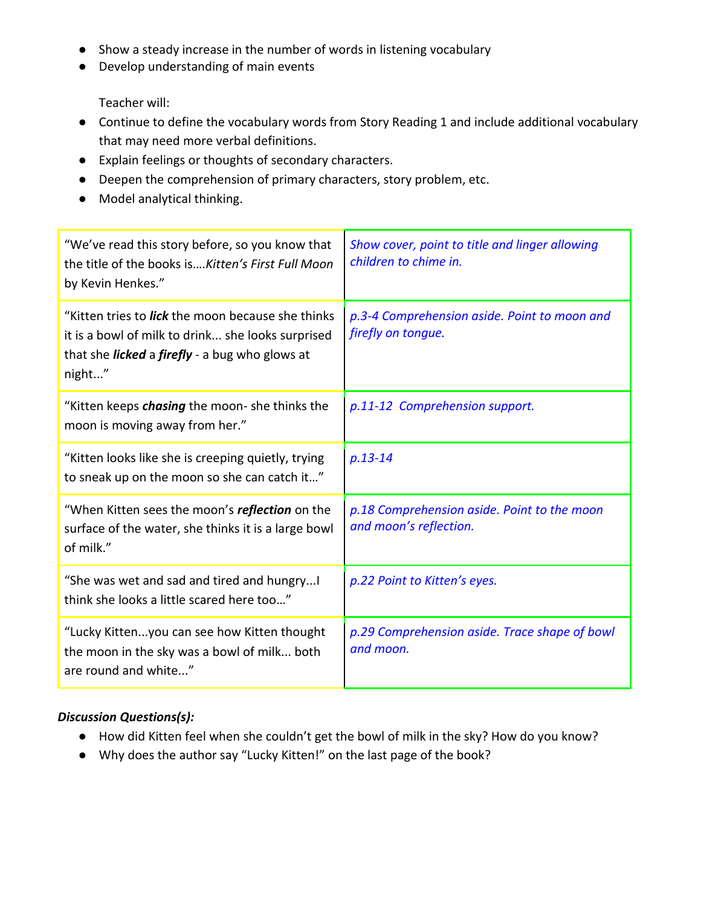- Show a steady increase in the number of words in listening vocabulary
- Develop understanding of main events

Teacher will:

- Continue to define the vocabulary words from Story Reading 1 and include additional vocabulary that may need more verbal definitions.
- Explain feelings or thoughts of secondary characters.
- Deepen the comprehension of primary characters, story problem, etc.
- Model analytical thinking.

| "We've read this story before, so you know that<br>the title of the books isKitten's First Full Moon<br>by Kevin Henkes."                                                               | Show cover, point to title and linger allowing<br>children to chime in. |
|-----------------------------------------------------------------------------------------------------------------------------------------------------------------------------------------|-------------------------------------------------------------------------|
| "Kitten tries to <i>lick</i> the moon because she thinks<br>it is a bowl of milk to drink she looks surprised<br>that she <i>licked</i> a <i>firefly</i> - a bug who glows at<br>night" | p.3-4 Comprehension aside. Point to moon and<br>firefly on tongue.      |
| "Kitten keeps <i>chasing</i> the moon- she thinks the<br>moon is moving away from her."                                                                                                 | p.11-12 Comprehension support.                                          |
| "Kitten looks like she is creeping quietly, trying<br>to sneak up on the moon so she can catch it"                                                                                      | $p.13 - 14$                                                             |
| "When Kitten sees the moon's <i>reflection</i> on the<br>surface of the water, she thinks it is a large bowl<br>of milk."                                                               | p.18 Comprehension aside. Point to the moon<br>and moon's reflection.   |
| "She was wet and sad and tired and hungry!<br>think she looks a little scared here too"                                                                                                 | p.22 Point to Kitten's eyes.                                            |
| "Lucky Kittenyou can see how Kitten thought<br>the moon in the sky was a bowl of milk both<br>are round and white"                                                                      | p.29 Comprehension aside. Trace shape of bowl<br>and moon.              |

# *Discussion Questions(s):*

- How did Kitten feel when she couldn't get the bowl of milk in the sky? How do you know?
- Why does the author say "Lucky Kitten!" on the last page of the book?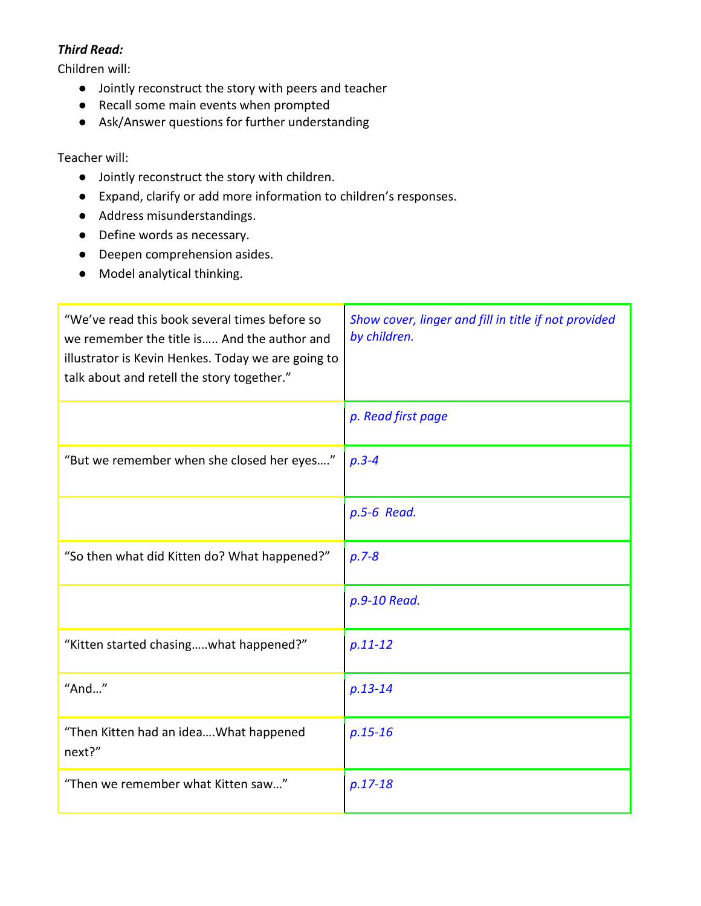## *Third Read:*

Children will:

- Jointly reconstruct the story with peers and teacher
- Recall some main events when prompted
- Ask/Answer questions for further understanding

### Teacher will:

- Jointly reconstruct the story with children.
- Expand, clarify or add more information to children's responses.
- Address misunderstandings.
- Define words as necessary.
- Deepen comprehension asides.
- Model analytical thinking.

| "We've read this book several times before so<br>we remember the title is And the author and<br>illustrator is Kevin Henkes. Today we are going to<br>talk about and retell the story together." | Show cover, linger and fill in title if not provided<br>by children. |
|--------------------------------------------------------------------------------------------------------------------------------------------------------------------------------------------------|----------------------------------------------------------------------|
|                                                                                                                                                                                                  | p. Read first page                                                   |
| "But we remember when she closed her eyes"                                                                                                                                                       | $p.3 - 4$                                                            |
|                                                                                                                                                                                                  | p.5-6 Read.                                                          |
| "So then what did Kitten do? What happened?"                                                                                                                                                     | $p.7 - 8$                                                            |
|                                                                                                                                                                                                  | p.9-10 Read.                                                         |
| "Kitten started chasingwhat happened?"                                                                                                                                                           | $p.11 - 12$                                                          |
| " $And$ "                                                                                                                                                                                        | $p.13 - 14$                                                          |
| "Then Kitten had an ideaWhat happened<br>next?"                                                                                                                                                  | $p.15 - 16$                                                          |
| "Then we remember what Kitten saw"                                                                                                                                                               | $p.17-18$                                                            |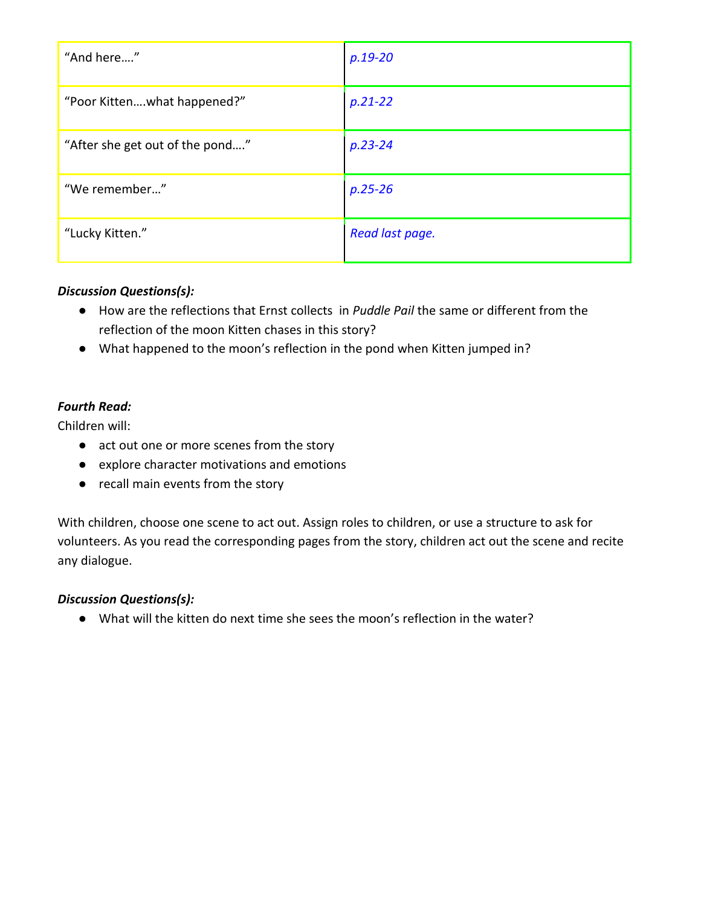| "And here"                      | $p.19 - 20$     |
|---------------------------------|-----------------|
| "Poor Kittenwhat happened?"     | $p.21 - 22$     |
| "After she get out of the pond" | $p.23 - 24$     |
| "We remember"                   | $p.25 - 26$     |
| "Lucky Kitten."                 | Read last page. |

### *Discussion Questions(s):*

- How are the reflections that Ernst collects in *Puddle Pail* the same or different from the reflection of the moon Kitten chases in this story?
- What happened to the moon's reflection in the pond when Kitten jumped in?

## *Fourth Read:*

Children will:

- act out one or more scenes from the story
- explore character motivations and emotions
- recall main events from the story

With children, choose one scene to act out. Assign roles to children, or use a structure to ask for volunteers. As you read the corresponding pages from the story, children act out the scene and recite any dialogue.

### *Discussion Questions(s):*

● What will the kitten do next time she sees the moon's reflection in the water?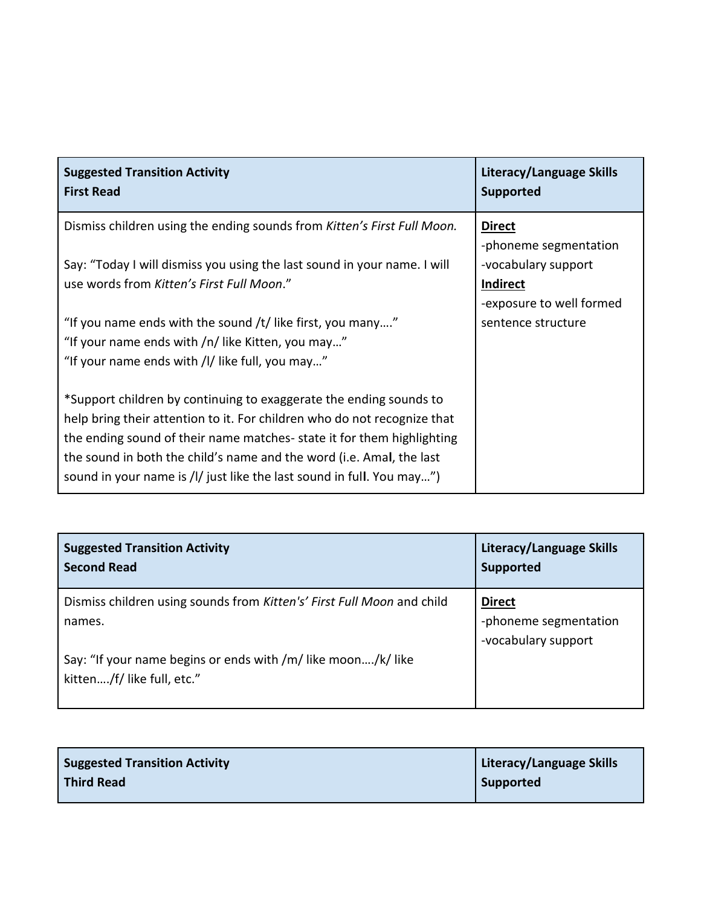| <b>Suggested Transition Activity</b><br><b>First Read</b>                                                                                                                                                                                                                                                                                                                | Literacy/Language Skills<br><b>Supported</b>                       |
|--------------------------------------------------------------------------------------------------------------------------------------------------------------------------------------------------------------------------------------------------------------------------------------------------------------------------------------------------------------------------|--------------------------------------------------------------------|
| Dismiss children using the ending sounds from Kitten's First Full Moon.                                                                                                                                                                                                                                                                                                  | <b>Direct</b><br>-phoneme segmentation                             |
| Say: "Today I will dismiss you using the last sound in your name. I will<br>use words from Kitten's First Full Moon."                                                                                                                                                                                                                                                    | -vocabulary support<br><b>Indirect</b><br>-exposure to well formed |
| "If you name ends with the sound /t/ like first, you many"<br>"If your name ends with /n/ like Kitten, you may"<br>"If your name ends with /l/ like full, you may"                                                                                                                                                                                                       | sentence structure                                                 |
| *Support children by continuing to exaggerate the ending sounds to<br>help bring their attention to it. For children who do not recognize that<br>the ending sound of their name matches-state it for them highlighting<br>the sound in both the child's name and the word (i.e. Amal, the last<br>sound in your name is /l/ just like the last sound in full. You may") |                                                                    |

| <b>Suggested Transition Activity</b><br><b>Second Read</b>                                 | Literacy/Language Skills<br><b>Supported</b>                  |
|--------------------------------------------------------------------------------------------|---------------------------------------------------------------|
| Dismiss children using sounds from Kitten's' First Full Moon and child<br>names.           | <b>Direct</b><br>-phoneme segmentation<br>-vocabulary support |
| Say: "If your name begins or ends with /m/ like moon/k/ like<br>kitten/f/ like full, etc." |                                                               |

| <b>Suggested Transition Activity</b> | Literacy/Language Skills |
|--------------------------------------|--------------------------|
| Third Read                           | Supported                |
|                                      |                          |